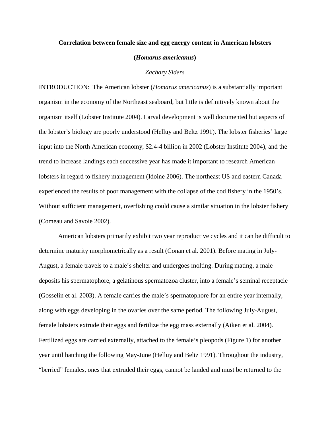## **Correlation between female size and egg energy content in American lobsters**

**(***Homarus americanus***)**

## *Zachary Siders*

INTRODUCTION: The American lobster (*Homarus americanus*) is a substantially important organism in the economy of the Northeast seaboard, but little is definitively known about the organism itself (Lobster Institute 2004). Larval development is well documented but aspects of the lobster's biology are poorly understood (Helluy and Beltz 1991). The lobster fisheries' large input into the North American economy, \$2.4-4 billion in 2002 (Lobster Institute 2004), and the trend to increase landings each successive year has made it important to research American lobsters in regard to fishery management (Idoine 2006). The northeast US and eastern Canada experienced the results of poor management with the collapse of the cod fishery in the 1950's. Without sufficient management, overfishing could cause a similar situation in the lobster fishery (Comeau and Savoie 2002).

American lobsters primarily exhibit two year reproductive cycles and it can be difficult to determine maturity morphometrically as a result (Conan et al. 2001). Before mating in July-August, a female travels to a male's shelter and undergoes molting. During mating, a male deposits his spermatophore, a gelatinous spermatozoa cluster, into a female's seminal receptacle (Gosselin et al. 2003). A female carries the male's spermatophore for an entire year internally, along with eggs developing in the ovaries over the same period. The following July-August, female lobsters extrude their eggs and fertilize the egg mass externally (Aiken et al. 2004). Fertilized eggs are carried externally, attached to the female's pleopods (Figure 1) for another year until hatching the following May-June (Helluy and Beltz 1991). Throughout the industry, "berried" females, ones that extruded their eggs, cannot be landed and must be returned to the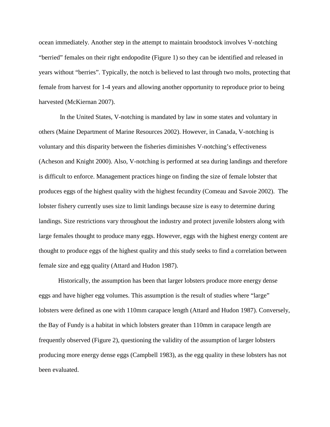ocean immediately. Another step in the attempt to maintain broodstock involves V-notching "berried" females on their right endopodite (Figure 1) so they can be identified and released in years without "berries". Typically, the notch is believed to last through two molts, protecting that female from harvest for 1-4 years and allowing another opportunity to reproduce prior to being harvested (McKiernan 2007).

In the United States, V-notching is mandated by law in some states and voluntary in others (Maine Department of Marine Resources 2002). However, in Canada, V-notching is voluntary and this disparity between the fisheries diminishes V-notching's effectiveness (Acheson and Knight 2000). Also, V-notching is performed at sea during landings and therefore is difficult to enforce. Management practices hinge on finding the size of female lobster that produces eggs of the highest quality with the highest fecundity (Comeau and Savoie 2002). The lobster fishery currently uses size to limit landings because size is easy to determine during landings. Size restrictions vary throughout the industry and protect juvenile lobsters along with large females thought to produce many eggs. However, eggs with the highest energy content are thought to produce eggs of the highest quality and this study seeks to find a correlation between female size and egg quality (Attard and Hudon 1987).

Historically, the assumption has been that larger lobsters produce more energy dense eggs and have higher egg volumes. This assumption is the result of studies where "large" lobsters were defined as one with 110mm carapace length (Attard and Hudon 1987). Conversely, the Bay of Fundy is a habitat in which lobsters greater than 110mm in carapace length are frequently observed (Figure 2), questioning the validity of the assumption of larger lobsters producing more energy dense eggs (Campbell 1983), as the egg quality in these lobsters has not been evaluated.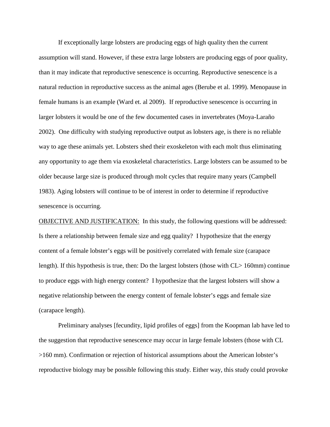If exceptionally large lobsters are producing eggs of high quality then the current assumption will stand. However, if these extra large lobsters are producing eggs of poor quality, than it may indicate that reproductive senescence is occurring. Reproductive senescence is a natural reduction in reproductive success as the animal ages (Berube et al. 1999). Menopause in female humans is an example (Ward et. al 2009). If reproductive senescence is occurring in larger lobsters it would be one of the few documented cases in invertebrates (Moya-Laraño 2002). One difficulty with studying reproductive output as lobsters age, is there is no reliable way to age these animals yet. Lobsters shed their exoskeleton with each molt thus eliminating any opportunity to age them via exoskeletal characteristics. Large lobsters can be assumed to be older because large size is produced through molt cycles that require many years (Campbell 1983). Aging lobsters will continue to be of interest in order to determine if reproductive senescence is occurring.

**OBJECTIVE AND JUSTIFICATION:** In this study, the following questions will be addressed: Is there a relationship between female size and egg quality? I hypothesize that the energy content of a female lobster's eggs will be positively correlated with female size (carapace length). If this hypothesis is true, then: Do the largest lobsters (those with CL> 160mm) continue to produce eggs with high energy content? I hypothesize that the largest lobsters will show a negative relationship between the energy content of female lobster's eggs and female size (carapace length).

Preliminary analyses [fecundity, lipid profiles of eggs] from the Koopman lab have led to the suggestion that reproductive senescence may occur in large female lobsters (those with CL >160 mm). Confirmation or rejection of historical assumptions about the American lobster's reproductive biology may be possible following this study. Either way, this study could provoke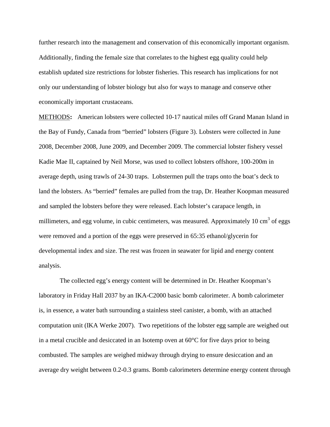further research into the management and conservation of this economically important organism. Additionally, finding the female size that correlates to the highest egg quality could help establish updated size restrictions for lobster fisheries. This research has implications for not only our understanding of lobster biology but also for ways to manage and conserve other economically important crustaceans.

METHODS **:** American lobsters were collected 10-17 nautical miles off Grand Manan Island in the Bay of Fundy, Canada from "berried" lobsters (Figure 3). Lobsters were collected in June 2008, December 2008, June 2009, and December 2009. The commercial lobster fishery vessel Kadie Mae II, captained by Neil Morse, was used to collect lobsters offshore, 100-200m in average depth, using trawls of 24-30 traps. Lobstermen pull the traps onto the boat's deck to land the lobsters. As "berried" females are pulled from the trap, Dr. Heather Koopman measured and sampled the lobsters before they were released. Each lobster's carapace length, in millimeters, and egg volume, in cubic centimeters, was measured. Approximately 10  $\text{cm}^3$  of eggs were removed and a portion of the eggs were preserved in 65:35 ethanol/glycerin for developmental index and size. The rest was frozen in seawater for lipid and energy content analysis.

The collected egg's energy content will be determined in Dr. Heather Koopman's laboratory in Friday Hall 2037 by an IKA-C2000 basic bomb calorimeter. A bomb calorimeter is, in essence, a water bath surrounding a stainless steel canister, a bomb, with an attached computation unit (IKA Werke 2007). Two repetitions of the lobster egg sample are weighed out in a metal crucible and desiccated in an Isotemp oven at  $60^{\circ}$ C for five days prior to being combusted. The samples are weighed midway through drying to ensure desiccation and an average dry weight between 0.2-0.3 grams. Bomb calorimeters determine energy content through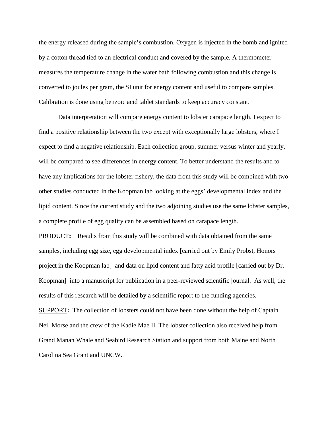the energy released during the sample's combustion. Oxygen is injected in the bomb and ignited by a cotton thread tied to an electrical conduct and covered by the sample. A thermometer measures the temperature change in the water bath following combustion and this change is converted to joules per gram, the SI unit for energy content and useful to compare samples. Calibration is done using benzoic acid tablet standards to keep accuracy constant.

Data interpretation will compare energy content to lobster carapace length. I expect to find a positive relationship between the two except with exceptionally large lobsters, where I expect to find a negative relationship. Each collection group, summer versus winter and yearly, will be compared to see differences in energy content. To better understand the results and to have any implications for the lobster fishery, the data from this study will be combined with two other studies conducted in the Koopman lab looking at the eggs' developmental index and the lipid content. Since the current study and the two adjoining studies use the same lobster samples, a complete profile of egg quality can be assembled based on carapace length.

PRODUCT**:** Results from this study will be combined with data obtained from the same samples, including egg size, egg developmental index [carried out by Emily Probst, Honors project in the Koopman lab] and data on lipid content and fatty acid profile [carried out by Dr. Koopman] into a manuscript for publication in a peer-reviewed scientific journal. As well, the results of this research will be detailed by a scientific report to the funding agencies.

SUPPORT**:** The collection of lobsters could not have been done without the help of Captain Neil Morse and the crew of the Kadie Mae II. The lobster collection also received help from Grand Manan Whale and Seabird Research Station and support from both Maine and North Carolina Sea Grant and UNCW.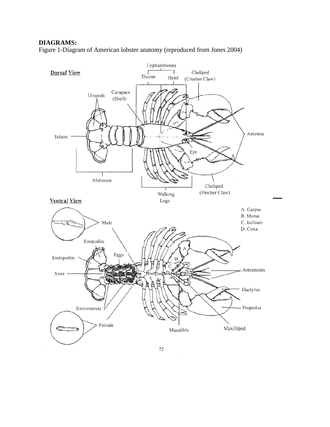## **DIAGRAMS:**

Figure 1-Diagram of American lobster anatomy (reproduced from Jones 2004)

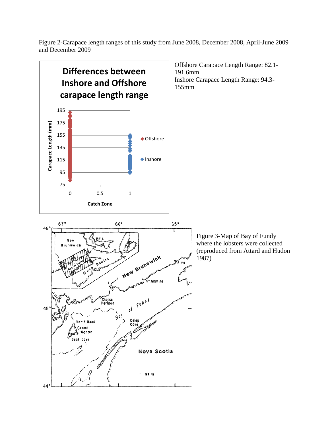Figure 2-Carapace length ranges of this study from June 2008, December 2008, April-June 2009 and December 2009

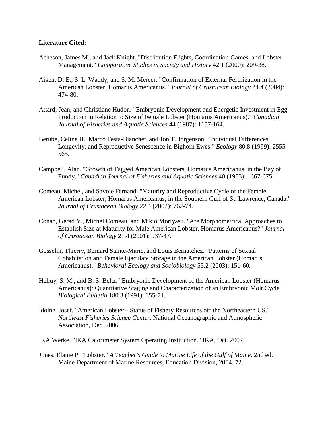## **Literature Cited:**

- Acheson, James M., and Jack Knight. "Distribution Flights, Coordination Games, and Lobster Management." *Comparative Studies in Society and History* 42.1 (2000): 209-38.
- Aiken, D. E., S. L. Waddy, and S. M. Mercer. "Confirmation of External Fertilization in the American Lobster, Homarus Americanus." *Journal of Crustacean Biology* 24.4 (2004): 474-80.
- Attard, Jean, and Christiane Hudon. "Embryonic Development and Energetic Investment in Egg Production in Relation to Size of Female Lobster (Homarus Americanus)." *Canadian Journal of Fisheries and Aquatic Sciences* 44 (1987): 1157-164.
- Berube, Celine H., Marco Festa-Bianchet, and Jon T. Jorgenson. "Individual Differences, Longevity, and Reproductive Senescence in Bighorn Ewes." *Ecology* 80.8 (1999): 2555- 565.
- Campbell, Alan. "Growth of Tagged American Lobsters, Homarus Americanus, in the Bay of Fundy." *Canadian Journal of Fisheries and Aquatic Sciences* 40 (1983): 1667-675.
- Comeau, Michel, and Savoie Fernand. "Maturity and Reproductive Cycle of the Female American Lobster, Homarus Americanus, in the Southern Gulf of St. Lawrence, Canada." *Journal of Crustacean Biology* 22.4 (2002): 762-74.
- Conan, Gerad Y., Michel Comeau, and Mikio Moriyasu. "Are Morphometrical Approaches to Establish Size at Maturity for Male American Lobster, Homarus Americanus?" *Journal of Crustacean Biology* 21.4 (2001): 937-47.
- Gosselin, Thierry, Bernard Sainte-Marie, and Louis Bernatchez. "Patterns of Sexual Cohabitation and Female Ejaculate Storage in the American Lobster (Homarus Americanus)." *Behavioral Ecology and Sociobiology* 55.2 (2003): 151-60.
- Helluy, S. M., and B. S. Beltz. "Embryonic Development of the American Lobster (Homarus Americanus): Quantitative Staging and Characterization of an Embryonic Molt Cycle." *Biological Bulletin* 180.3 (1991): 355-71.
- Idoine, Josef. "American Lobster Status of Fishery Resources off the Northeastern US." *Northeast Fisheries Science Center*. National Oceanographic and Atmospheric Association, Dec. 2006.
- IKA Werke. "IKA Calorimeter System Operating Instruction." IKA, Oct. 2007.
- Jones, Elaine P. "Lobster." *A Teacher's Guide to Marine Life of the Gulf of Maine*. 2nd ed. Maine Department of Marine Resources, Education Division, 2004. 72.